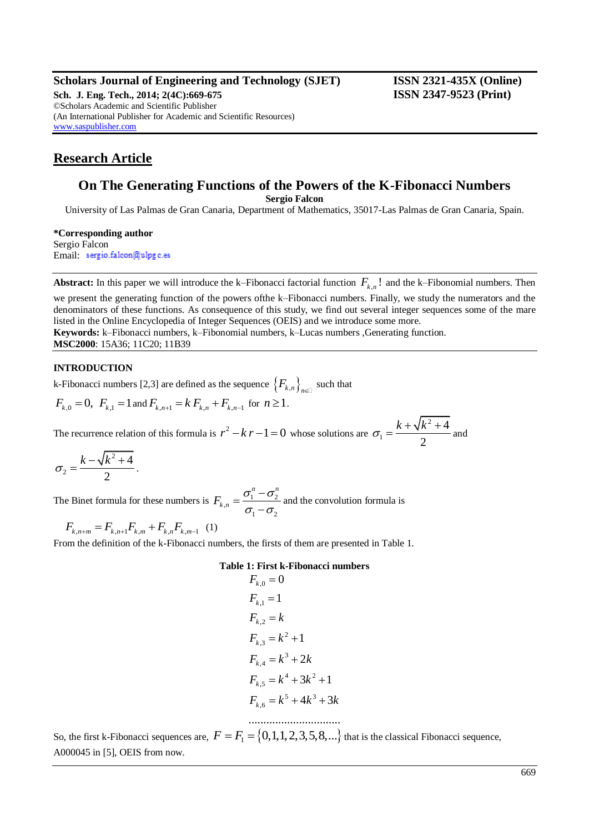## **Scholars Journal of Engineering and Technology (SJET) ISSN 2321-435X (Online)**

**Sch. J. Eng. Tech., 2014; 2(4C):669-675 ISSN 2347-9523 (Print)** ©Scholars Academic and Scientific Publisher (An International Publisher for Academic and Scientific Resources) [www.saspublisher.com](http://www.saspublisher.com/)

## **Research Article**

# **On The Generating Functions of the Powers of the K-Fibonacci Numbers**

**Sergio Falcon**

University of Las Palmas de Gran Canaria, Department of Mathematics, 35017-Las Palmas de Gran Canaria, Spain.

**\*Corresponding author** Sergio Falcon Email: sergio.falcon@ulpgc.es

**Abstract:** In this paper we will introduce the k–Fibonacci factorial function  $F_{k,n}$ ! and the k–Fibonomial numbers. Then

we present the generating function of the powers ofthe k–Fibonacci numbers. Finally, we study the numerators and the denominators of these functions. As consequence of this study, we find out several integer sequences some of the mare listed in the Online Encyclopedia of Integer Sequences (OEIS) and we introduce some more. **Keywords:** k–Fibonacci numbers, k–Fibonomial numbers, k–Lucas numbers, Generating function.

**MSC2000**: 15A36; 11C20; 11B39

## **INTRODUCTION**

k-Fibonacci numbers [2,3] are defined as the sequence  $\left\{F_{k,n}\right\}_{n\in\mathbb{Z}}$  such that

$$
F_{k,0} = 0
$$
,  $F_{k,1} = 1$  and  $F_{k,n+1} = k F_{k,n} + F_{k,n-1}$  for  $n \ge 1$ .

The recurrence relation of this formula is  $r^2 - k r - 1 = 0$  whose solutions are 2 1 4 2  $\sigma_1 = \frac{k + \sqrt{k^2 + 4}}{2}$  and

$$
\sigma_2=\frac{k-\sqrt{k^2+4}}{2}.
$$

The Binet formula for these numbers is  $F_{k,n} = \frac{O_1 - O_2}{I}$  $1 \quad \mathbf{v}_2$ *n n*  $\overline{F}_{k,n}$  $\sigma_1^n-\sigma_2^n$  $\sigma_1-\sigma_2$  $=\frac{\sigma_1^n \frac{\sigma_2}{\sigma_2}$  and the convolution formula is

$$
F_{k,n+m} = F_{k,n+1} F_{k,m} + F_{k,n} F_{k,m-1} \quad (1)
$$

From the definition of the k-Fibonacci numbers, the firsts of them are presented in Table 1.

## **Table 1: First k-Fibonacci numbers**

$$
F_{k,0} = 0
$$
  
\n
$$
F_{k,1} = 1
$$
  
\n
$$
F_{k,2} = k
$$
  
\n
$$
F_{k,3} = k^2 + 1
$$
  
\n
$$
F_{k,4} = k^3 + 2k
$$
  
\n
$$
F_{k,5} = k^4 + 3k^2 + 1
$$
  
\n
$$
F_{k,6} = k^5 + 4k^3 + 3k
$$

So, the first k-Fibonacci sequences are,  $F = F_1 = \{0, 1, 1, 2, 3, 5, 8, ...\}$  that is the classical Fibonacci sequence, A000045 in [5], OEIS from now.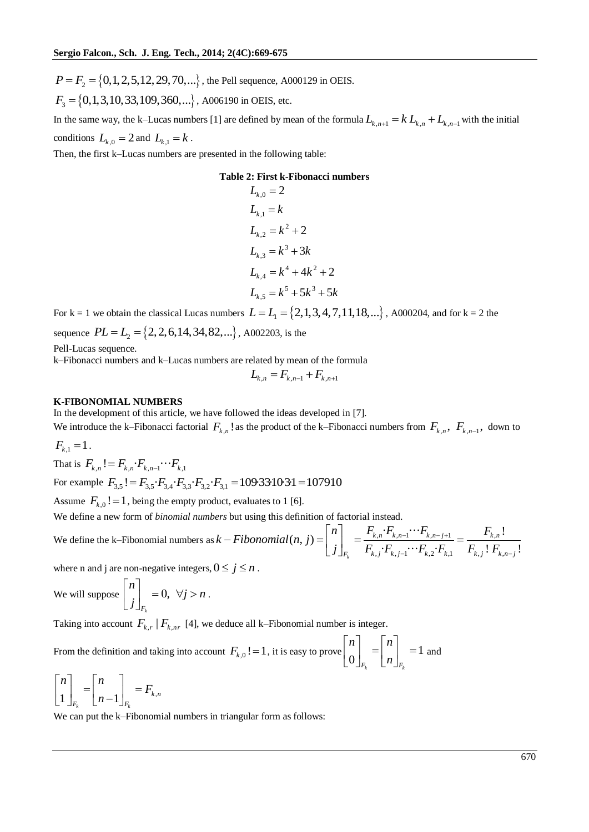$P = F_2 = \{0, 1, 2, 5, 12, 29, 70, ...\}$ , the Pell sequence, A000129 in OEIS.

$$
F_3 = \{0, 1, 3, 10, 33, 109, 360, ...\}
$$
, A006190 in OEIS, etc.

In the same way, the k-Lucas numbers [1] are defined by mean of the formula  $L_{k,n+1} = k L_{k,n} + L_{k,n-1}$  with the initial conditions  $L_{k,0} = 2$  and  $L_{k,1} = k$ .

Then, the first k–Lucas numbers are presented in the following table:

#### **Table 2: First k-Fibonacci numbers**

$$
L_{k,0} = 2
$$
  
\n
$$
L_{k,1} = k
$$
  
\n
$$
L_{k,2} = k^2 + 2
$$
  
\n
$$
L_{k,3} = k^3 + 3k
$$
  
\n
$$
L_{k,4} = k^4 + 4k^2 + 2
$$
  
\n
$$
L_{k,5} = k^5 + 5k^3 + 5k
$$

For k = 1 we obtain the classical Lucas numbers  $L = L_1 = \{2, 1, 3, 4, 7, 11, 18, ...\}$ , A000204, and for k = 2 the

sequence  $PL = L_2 = \{2, 2, 6, 14, 34, 82, ...\}$ , A002203, is the

Pell-Lucas sequence.

k–Fibonacci numbers and k–Lucas numbers are related by mean of the formula

$$
L_{k,n} = F_{k,n-1} + F_{k,n+1}
$$

#### **K-FIBONOMIAL NUMBERS**

In the development of this article, we have followed the ideas developed in [7].

We introduce the k–Fibonacci factorial  $F_{k,n}$ ! as the product of the k–Fibonacci numbers from  $F_{k,n}$ ,  $F_{k,n-1}$ , down to  $F_{k,1} = 1$ .

That is  $F_{k,n}!=F_{k,n}\cdot F_{k,n-1}\cdots F_{k,1}$ 

That is  $F_{k,n}! = F_{k,n} \cdot F_{k,n-1} \cdots F_{k,1}$ <br>For example  $F_{3,5}! = F_{3,5} \cdot F_{3,4} \cdot F_{3,3} \cdot F_{3,2} \cdot F_{3,1} = 109.33 \cdot 10 \cdot 3 \cdot 1 = 107910$ 

Assume  $F_{k,0}$  ! = 1, being the empty product, evaluates to 1 [6].

We define a new form of *binomial numbers* but using this definition of factorial instead.

We define a new form of *binomial numbers* but using this definition of factorial instead.<br>We define the k–Fibonomial numbers as  $k-Fibonomial(n, j) = \begin{bmatrix} n \\ \end{bmatrix} = \frac{F_{k,n} \cdot F_{k,n-1} \cdots F_{k,n-j+1}}{\frac{1}{n} \cdot F_{k,n-j}} = \frac{F_{k,n} \cdot F_{k,n-j+1}}{\frac{1$  $\frac{\sum_{k,n} \sum F_{k,n-1} \cdots \sum F_{k,n-j+1}}{\sum_{j} \sum_{j-1} \cdots \sum_{k,2} \sum_{k,1}} = \frac{F_{k,n}}{F_{k,j}! F_{k,n}}$ stead.<br> $\cdot F_{k,n-1}\cdots F_{k,n-j+1} = \frac{F_{k,n}!}{\cdot}$  $[0]$ .<br> $\left($ finiti $(n, j)\right)$ instead.<br>  $\sum_{k,n} \cdot F_{k,n-1} \cdot \cdot \cdot F_{k,n-j+1} = \frac{F_{k,n}!}{F_{k,j} \cdot F_{k,n-j}!}$ *k*  $F_{k} = \frac{F_{k,n} \cdot F_{k,n-1} \cdot \cdots \cdot F_{k,n-j+1}}{F_{k,j} \cdot F_{k,j-1} \cdot \cdots F_{k,2} \cdot F_{k,1}} = \frac{F_{k,n}}{F_{k,j}! \cdot F_{k,n-j}}$ *f* factorial instead.<br>  $n\begin{bmatrix} \nF_{k,n} \cdot F_{k,n-1} \cdots F_{k,n-j+1} \n\end{bmatrix} = \frac{F_{k,n}}{F_{k,n-j+1}}$ *k* Fibonomial (n, j)<br>*k* – *Fibonomial* (n, j) *f* factorial instead.<br> *j*  $\begin{bmatrix} n \\ j \end{bmatrix}_{F_k} = \frac{F_{k,n} \cdot F_{k,n-1} \cdots F_{k,n-j+1}}{F_{k,j} \cdot F_{k,j-1} \cdots F_{k,2} \cdot F_{k,1}} = \frac{F_{k,n}}{F_{k,j} \cdot F_{k,j}}$  $\frac{r_{k,n-j+1}}{r_{k-1}\cdots F_{k,2}\cdot F_{k,1}} = \frac{F_{k,n}!}{F_{k,j}! F_{k,n-j}!}$ ct, evaluates to 1 [6].<br>
s but using this definition of factorial instead.<br>  $-Fibonomial(n, j) =\begin{bmatrix} n \\ j \end{bmatrix}_{F_k} = \frac{F_{k,n} \cdot F_{k,n-1} \cdots F_{k,n-j+1}}{F_{k,j} \cdot F_{k,j-1} \cdots F_{k,2} \cdot F_{k,1}} = \frac{F_{k,n}!}{F_{k,j}! F_{k,n-1}}$ 

where n and j are non-negative integers,  $0 \le j \le n$ .

We will suppose 
$$
\begin{bmatrix} n \\ j \end{bmatrix}_{F_k} = 0, \forall j > n
$$
.

Taking into account  $F_{k,r}$  |  $F_{k,nr}$  [4], we deduce all k–Fibonomial number is integer.

From the definition and taking into account  $F_{k,0}$ ! = 1, it is easy to prove  $\begin{bmatrix} 1 \ 0 \end{bmatrix} = \begin{bmatrix} 1 \ 0 \end{bmatrix} = 1$  $0 \bigcup_{F_k}$   $\big[ n \big]_{F_k}$ *n* 7 [*n n*  $\begin{bmatrix} n \\ 0 \end{bmatrix}_{F_k} = \begin{bmatrix} n \\ n \end{bmatrix}_{F_k} = 1$  and

$$
\begin{bmatrix} n \\ 1 \end{bmatrix}_{F_k} = \begin{bmatrix} n \\ n-1 \end{bmatrix}_{F_k} = F_{k,n}
$$

We can put the k–Fibonomial numbers in triangular form as follows: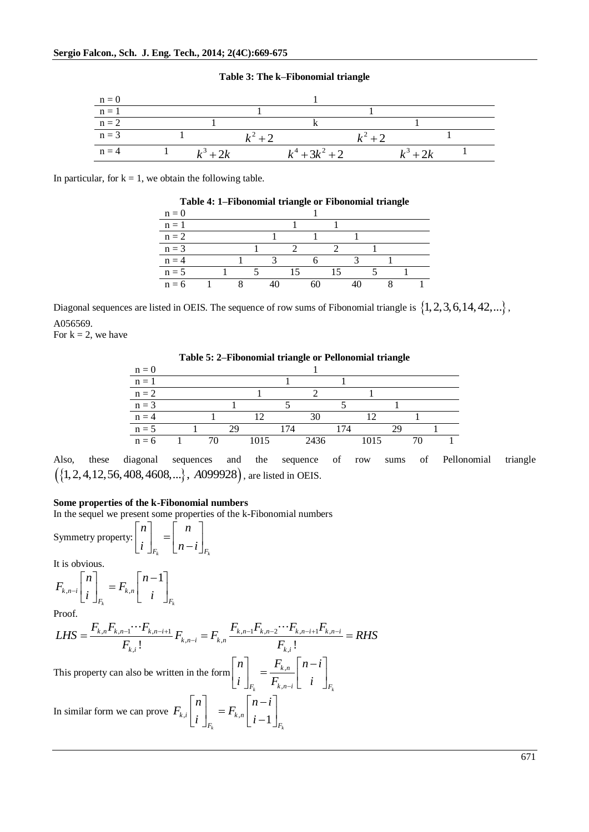#### **Table 3: The k–Fibonomial triangle**



In particular, for  $k = 1$ , we obtain the following table.

| Table 4: 1–Fibonomial triangle or Fibonomial triangle |  |  |  |  |  |  |  |  |  |  |  |  |  |
|-------------------------------------------------------|--|--|--|--|--|--|--|--|--|--|--|--|--|
| $n = 0$                                               |  |  |  |  |  |  |  |  |  |  |  |  |  |
| $n = 1$                                               |  |  |  |  |  |  |  |  |  |  |  |  |  |
| $n = 2$                                               |  |  |  |  |  |  |  |  |  |  |  |  |  |
| $n = 3$                                               |  |  |  |  |  |  |  |  |  |  |  |  |  |
| $n = 4$                                               |  |  |  |  |  |  |  |  |  |  |  |  |  |
| $n = 5$                                               |  |  |  |  |  |  |  |  |  |  |  |  |  |
| $n = 6$                                               |  |  |  |  |  |  |  |  |  |  |  |  |  |

Diagonal sequences are listed in OEIS. The sequence of row sums of Fibonomial triangle is  $\{1, 2, 3, 6, 14, 42, ...\}$ , A056569.

For  $k = 2$ , we have

**Table 5: 2–Fibonomial triangle or Pellonomial triangle**

| $n = 0$ |  |  |      |     |      |     |      |  |  |
|---------|--|--|------|-----|------|-----|------|--|--|
| $n = 1$ |  |  |      |     |      |     |      |  |  |
| $n = 2$ |  |  |      |     |      |     |      |  |  |
| $n = 3$ |  |  |      |     |      |     |      |  |  |
| $n = 4$ |  |  |      |     |      |     |      |  |  |
| $n = 5$ |  |  |      | 174 |      | 174 |      |  |  |
| $n = 6$ |  |  | 1015 |     | 2436 |     | 1015 |  |  |

Also, these diagonal sequences and the sequence of row sums of Pellonomial triangle Also, these diagonal sequences and the sequence  $({1, 2, 4, 12, 56, 408, 4608,...}, A099928)$ , are listed in OEIS.

### **Some properties of the k-Fibonomial numbers**

In the sequel we present some properties of the k-Fibonomial numbers

Symmetry property:  $F_k$   $\begin{bmatrix} I^{\mu} & \mu \end{bmatrix} F_k$ *n n*  $i \mid_{E}$   $\mid$   $n-i$  $\lceil n \rceil$   $\lceil n \rceil$  $\begin{bmatrix} n \\ i \end{bmatrix}_{F_k} = \begin{bmatrix} n \\ n-i \end{bmatrix}_{F_k}$ 

It is obvious.

$$
F_{k,n-i} \begin{bmatrix} n \\ i \end{bmatrix}_{F_k} = F_{k,n} \begin{bmatrix} n-1 \\ i \end{bmatrix}_{F_k}
$$

Proof.

$$
F_{k,n-i} \left[ i \right]_{F_k} = F_{k,n} \left[ i \right]_{F_k}
$$
  
\nProof.  
\n
$$
LHS = \frac{F_{k,n} F_{k,n-1} \cdots F_{k,n-i+1}}{F_{k,i}} F_{k,n-i} = F_{k,n} \frac{F_{k,n-1} F_{k,n-2} \cdots F_{k,n-i+1} F_{k,n-i}}{F_{k,i}} = RHS
$$

This property can also be written in the form  $\begin{bmatrix} u \\ v \end{bmatrix} = \frac{1}{u}$ .  $\sum_{k}$  **k**,  $n-i$  **L i**  $\bigcup_{k}$ *k n*  $F_k$  **F**  $k, n-i$  **L i**  $\bigcup$  **F** *n*  $\left\lceil \right\rceil$   $F_{k,n} \left\lceil n - i \right\rceil$  $i$   $\Big|_{F_i} = \frac{1}{F_{k,n-i}} \Big|_{i}$  *i*  $\lceil n \rceil$   $F_{_{k,n}} \lceil n-i \rceil$  $\begin{bmatrix} n \\ i \end{bmatrix}_{F_k} = \frac{1_{k,n}}{F_{k,n-i}} \begin{bmatrix} n & i \\ i & \end{bmatrix}_{F_k}$ 

In similar form we can prove  $F_{k,i} \begin{bmatrix} i \end{bmatrix}_{F_k} = F_{k,n} \begin{bmatrix} i-1 \end{bmatrix}_{F_k}$  $\left| \begin{array}{c} k, i \end{array} \right|$  ;  $F = F_{k,n}$  $F_k$   $\begin{bmatrix} l-1 \end{bmatrix}$ *n*  $\left[\begin{array}{cc} n & \bar{n} \\ \bar{n} & \bar{n} \end{array}\right]$  $F_{k,i}$   $\begin{array}{c} n \\ n \end{array}$   $=$   $F_{k,i}$  $i \int_{E_i} = F_{k,n} \left[ i \right]$  $\begin{bmatrix} n \end{bmatrix}$   $\begin{bmatrix} n-i \end{bmatrix}$  $\begin{bmatrix} n \\ i \end{bmatrix}_{F_k} = F_{k,n} \begin{bmatrix} n-i \\ i-1 \end{bmatrix}_{F_k}$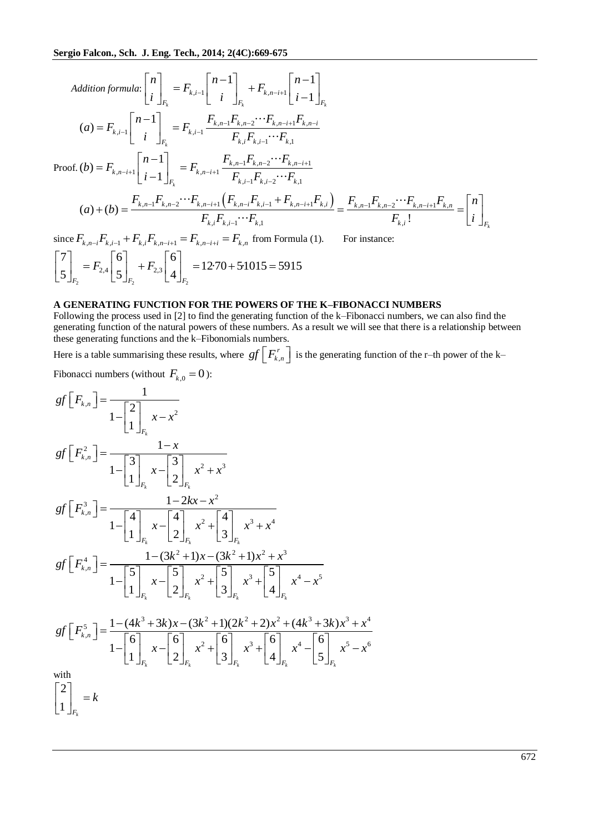$$
Addition formula: \begin{bmatrix} n \\ i \end{bmatrix}_{F_k} = F_{k,i-1} \begin{bmatrix} n-1 \\ i \end{bmatrix}_{F_k} + F_{k,n-i+1} \begin{bmatrix} n-1 \\ i-1 \end{bmatrix}_{F_k}
$$
  
\n
$$
(a) = F_{k,i-1} \begin{bmatrix} n-1 \\ i \end{bmatrix}_{F_k} = F_{k,i-1} \frac{F_{k,n-1}F_{k,n-2} \cdots F_{k,n-i+1}F_{k,n-i}}{F_{k,i}F_{k,i-1} \cdots F_{k,1}}
$$
  
\nProof. (b) =  $F_{k,n-i+1} \begin{bmatrix} n-1 \\ i-1 \end{bmatrix}_{F_k} = F_{k,n-i+1} \frac{F_{k,n-1}F_{k,n-2} \cdots F_{k,n-i+1}}{F_{k,i-1}F_{k,i-2} \cdots F_{k,1}}$   
\n
$$
(a) + (b) = \frac{F_{k,n-1}F_{k,n-2} \cdots F_{k,n-i+1} \left(F_{k,n-i}F_{k,i-1} + F_{k,n-i+1}F_{k,i}\right)}{F_{k,i}F_{k,i-1} \cdots F_{k,1}} = \frac{F_{k,n-1}F_{k,n-2} \cdots F_{k,n-i+1}F_{k,n}}{F_{k,i}!} = \begin{bmatrix} n \\ i \end{bmatrix}_{F_k}
$$

 $F_{k,i}F_{k,i-1}\cdots F_{k,1}$ <br>since  $F_{k,n-i}F_{k,i-1} + F_{k,i}F_{k,n-i+1} = F_{k,n-i+i} = F_{k,n}$  from Formula (1). For instance:  $\sum_{2}^{2,4}$   $\left[5\right]_{F_2}$   $\left[4\right]_{F_2}$  $\left| \begin{array}{c} 6 \\ 5 \end{array} \right| + F_{2,3}$ nce  $F_{k,n-i}F_{k,i-1} + F_{k,i}F_{k,n-i+1}$ <br>  $7 \rceil = F_{k,i} \rceil 6 \rceil + F_{k,i} \rceil 6$  $t_{n-i+i} = F_{k,n}$  from Formul<br>12·70 + 5·1015 = 5915  $\begin{bmatrix} 7 \\ 5 \end{bmatrix}_{F_2} = F_{2,4} \begin{bmatrix} 6 \\ 5 \end{bmatrix}_{F_2} + F_{2,3} \begin{bmatrix} 6 \\ 4 \end{bmatrix}_{F_1}$  $F_{k,i-1} + F_{k,i}F_{k,i}$ <br> $F_{2,4}\begin{bmatrix} 6 \ 5 \end{bmatrix} + F_{2,i}$ since  $F_{k,n-i}F_{k,i-1} + F_{k,i}F_{k,n-i+1} = F_{k,n-i+i} = F_{k,n}$  from Formula (<br>  $\begin{bmatrix} 7 \\ 5 \end{bmatrix}_{F_2} = F_{2,4} \begin{bmatrix} 6 \\ 5 \end{bmatrix}_{F_2} + F_{2,3} \begin{bmatrix} 6 \\ 4 \end{bmatrix}_{F_2} = 12.70 + 5.1015 = 5915$ 

#### **A GENERATING FUNCTION FOR THE POWERS OF THE K–FIBONACCI NUMBERS**

Following the process used in [2] to find the generating function of the k–Fibonacci numbers, we can also find the generating function of the natural powers of these numbers. As a result we will see that there is a relationship between these generating functions and the k–Fibonomials numbers.

Here is a table summarising these results, where  $gf \, | \, F_k^r$  $gf\left[F_{k,n}^r\right]$  is the generating function of the r–th power of the k–

Fibonacci numbers (without  $F_{k,0} = 0$ ):

Addition formula: 
$$
\begin{bmatrix} n \\ i \end{bmatrix}_{F_k} = F_{k,i-1} \begin{bmatrix} n-1 \\ i \end{bmatrix}_{F_k} + F_{k,n-i+1} \begin{bmatrix} n-1 \\ i-1 \end{bmatrix}_{F_k}
$$
  
\n(a)  $F_{k,i-1} \begin{bmatrix} n-1 \\ i \end{bmatrix}_{F_k} = F_{k,i-1} \frac{F_{k,n-1}F_{k,n-2} \cdots F_{k,n-i+1}F_{k,n-i}}{F_{k,i}F_{k,i-1} \cdots F_{k,i}}$   
\nProof. (b)  $F_{k,n-i+1} \begin{bmatrix} n-1 \\ i-1 \end{bmatrix}_{F_k} = F_{k,n-i+1} \frac{F_{k,n-1}F_{k,n-2} \cdots F_{k,n-i}}{F_{k,i-1}F_{k,i-2} \cdots F_{k,i}}$   
\n(a)  $+ (b) = \frac{F_{k,n-i}F_{k,n-2} \cdots F_{k,n-i+1}}{F_{k,i}F_{k,i-1} \cdots F_{k,i}}$   
\n(a)  $+ (b) = \frac{F_{k,n-i}F_{k,n-2} \cdots F_{k,n-i+1}}{F_{k,i}F_{k,i-1} \cdots F_{k,i}}$   
\nsince  $F_{k,n-i}F_{k,i-1} + F_{k,i}F_{k,n-i+1} = F_{k,n-i+1} = F_{k,n}$  from Formula (1). For instance:  
\n $\begin{bmatrix} 7 \\ 5 \end{bmatrix}_{F_2} = F_{2,4} \begin{bmatrix} 6 \\ 5 \end{bmatrix}_{F_2} + F_{2,3} \begin{bmatrix} 6 \\ 4 \end{bmatrix}_{F_2} = 12.70 + 5.1015 = 5915$   
\n**AlCNER B INORES OF THE FONERS OF THE FONERC OF  
\n**AlCNER S INERCITION CP INORES OF THE FONERS OF THE K-TBONACCT NU**  
\n**PolONACC INUR OF INPROIN SING THE POWERS OF THE K-TBONACCT NU**  
\ngenerating function of the natural powers of these numbers. As a result we will see that the  
\nthese generating functions and the k-Tibomomials numbers.  
\nHere is a table summarising these results, where  $gf \begin{bmatrix} F_{k,n} \\ F_{k,n} \end{bmatrix}$  is the generating function of  
\n $gf \begin{b$**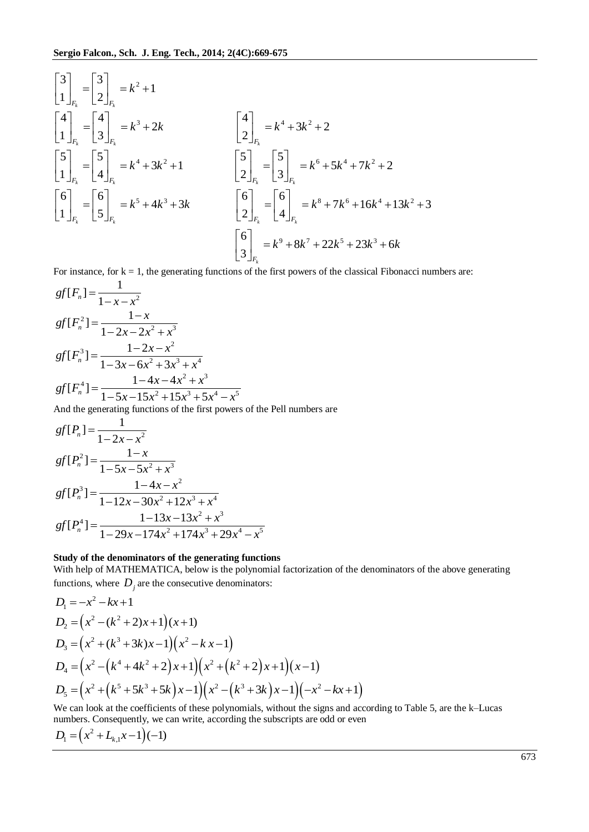$$
\begin{bmatrix} 3 \ 1 \end{bmatrix}_{F_k} = \begin{bmatrix} 3 \ 2 \end{bmatrix}_{F_k} = k^2 + 1
$$
\n
$$
\begin{bmatrix} 4 \ 1 \end{bmatrix}_{F_k} = \begin{bmatrix} 4 \ 3 \end{bmatrix}_{F_k} = k^3 + 2k
$$
\n
$$
\begin{bmatrix} 5 \ 1 \end{bmatrix}_{F_k} = \begin{bmatrix} 5 \ 4 \end{bmatrix}_{F_k} = k^4 + 3k^2 + 1
$$
\n
$$
\begin{bmatrix} 5 \ 2 \end{bmatrix}_{F_k} = \begin{bmatrix} 5 \ 3 \end{bmatrix}_{F_k} = k^6 + 5k^4 + 7k^2 + 2
$$
\n
$$
\begin{bmatrix} 6 \ 1 \end{bmatrix}_{F_k} = \begin{bmatrix} 6 \ 5 \end{bmatrix}_{F_k} = k^5 + 4k^3 + 3k
$$
\n
$$
\begin{bmatrix} 6 \ 2 \end{bmatrix}_{F_k} = \begin{bmatrix} 6 \ 4 \end{bmatrix}_{F_k} = k^8 + 7k^6 + 16k^4 + 13k^2 + 3
$$
\n
$$
\begin{bmatrix} 6 \ 3 \end{bmatrix}_{F_k} = k^9 + 8k^7 + 22k^5 + 23k^3 + 6k
$$
\nFor instance for k = 1, the generating functions of the first powers of the classical Eihongon; numbers are:

For instance, for  $k = 1$ , the generating functions of the first powers of the classical Fibonacci numbers are:

$$
gf[F_n] = \frac{1}{1 - x - x^2}
$$
  
\n
$$
gf[F_n^2] = \frac{1 - x}{1 - 2x - 2x^2 + x^3}
$$
  
\n
$$
gf[F_n^3] = \frac{1 - 2x - x^2}{1 - 3x - 6x^2 + 3x^3 + x^4}
$$
  
\n
$$
gf[F_n^4] = \frac{1 - 4x - 4x^2 + x^3}{1 - 5x - 15x^2 + 15x^3 + 5x^4 - x^5}
$$
  
\nAnd the generating functions of the first power of

And the generating functions of the first powers of the Pell numbers are

$$
gf[Pn] = \frac{1}{1 - 2x - x^2}
$$
  
\n
$$
gf[Pn2] = \frac{1 - x}{1 - 5x - 5x^2 + x^3}
$$
  
\n
$$
gf[Pn3] = \frac{1 - 4x - x^2}{1 - 12x - 30x^2 + 12x^3 + x^4}
$$
  
\n
$$
gf[Pn4] = \frac{1 - 13x - 13x^2 + x^3}{1 - 29x - 174x^2 + 174x^3 + 29x^4 - x^5}
$$

## **Study of the denominators of the generating functions**

With help of MATHEMATICA, below is the polynomial factorization of the denominators of the above generating functions, where  $D_j$  are the consecutive denominators:

$$
D_1 = -x^2 - kx + 1
$$
  
\n
$$
D_2 = (x^2 - (k^2 + 2)x + 1)(x + 1)
$$
  
\n
$$
D_3 = (x^2 + (k^3 + 3k)x - 1)(x^2 - kx - 1)
$$
  
\n
$$
D_4 = (x^2 - (k^4 + 4k^2 + 2)x + 1)(x^2 + (k^2 + 2)x + 1)(x - 1)
$$
  
\n
$$
D_5 = (x^2 + (k^5 + 5k^3 + 5k)x - 1)(x^2 - (k^3 + 3k)x - 1)(-x^2 - kx + 1)
$$

We can look at the coefficients of these polynomials, without the signs and according to Table 5, are the k–Lucas numbers. Consequently, we can write, according the subscripts are odd or even

$$
D_1 = (x^2 + L_{k,1}x - 1)(-1)
$$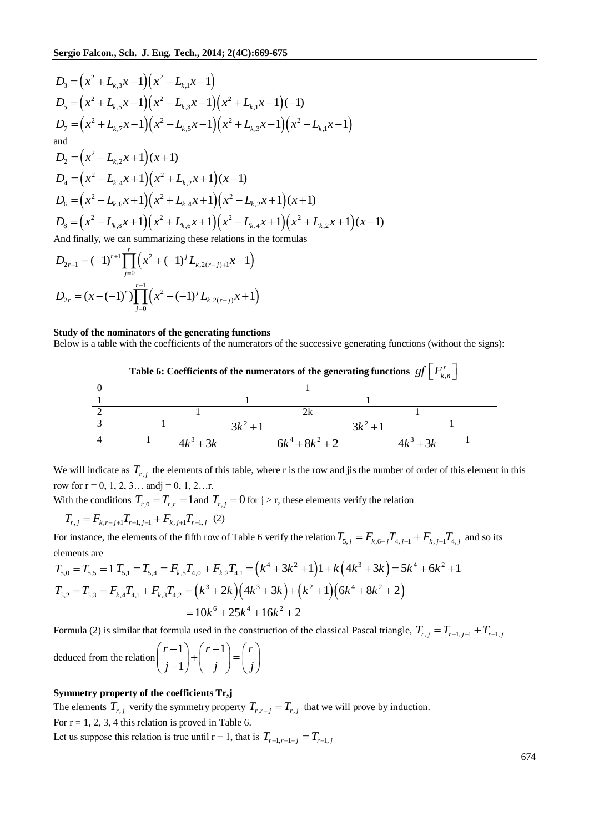$$
D_3 = (x^2 + L_{k,3}x - 1)(x^2 - L_{k,1}x - 1)
$$
  
\n
$$
D_5 = (x^2 + L_{k,5}x - 1)(x^2 - L_{k,3}x - 1)(x^2 + L_{k,1}x - 1)(-1)
$$
  
\n
$$
D_7 = (x^2 + L_{k,7}x - 1)(x^2 - L_{k,5}x - 1)(x^2 + L_{k,3}x - 1)(x^2 - L_{k,1}x - 1)
$$
  
\nand  
\n
$$
D_2 = (x^2 - L_{k,2}x + 1)(x + 1)
$$
  
\n
$$
D_4 = (x^2 - L_{k,4}x + 1)(x^2 + L_{k,2}x + 1)(x - 1)
$$
  
\n
$$
D_6 = (x^2 - L_{k,6}x + 1)(x^2 + L_{k,4}x + 1)(x^2 - L_{k,2}x + 1)(x + 1)
$$
  
\n
$$
D_8 = (x^2 - L_{k,8}x + 1)(x^2 + L_{k,6}x + 1)(x^2 - L_{k,4}x + 1)(x^2 + L_{k,2}x + 1)(x - 1)
$$
  
\nAnd finally, we can summarizing these relations in the formulas  
\n
$$
D_{2r+1} = (-1)^{r+1} \prod_{k=1}^{r} (x^2 + (-1)^j L_{k,2(r-j)+1}x - 1)
$$

$$
D_{2r} = (x - (-1)^r) \prod_{j=0}^{r-1} \left( x^2 - (-1)^j L_{k, 2(r-j)} x + 1 \right)
$$

#### **Study of the nominators of the generating functions**

Below is a table with the coefficients of the numerators of the successive generating functions (without the signs):



We will indicate as  $T_{r,j}$  the elements of this table, where r is the row and jis the number of order of this element in this row for  $r = 0, 1, 2, 3...$  and  $j = 0, 1, 2...$ r.

With the conditions  $T_{r,0} = T_{r,r} = 1$  and  $T_{r,j} = 0$  for  $j > r$ , these elements verify the relation  $T_{r,j} = F_{k,r-j+1}T_{r-1,j-1} + F_{k,j+1}T_{r-1,j}$  (2)

$$
T_{r,j} = F_{k,r-j+1} T_{r-1,j-1} + F_{k,j+1} T_{r-1,j} \tag{2}
$$

For instance, the elements of the fifth row of Table 6 verify the relation  $T_{5,j} = F_{k,6-j}T_{4,j-1} + F_{k,j+1}T_{4,j}$  and so its elements are<br>elements are<br> $T_{5,0} = T_{5,5} = 1$   $T_{5,1} = T_{5,4} = F_{k,5}T_{4,0} + F_{k,2}T_{4,1} = (k^4 + 3k^2 + 1$ elements are be elements of the fifth row of Table 6 verify the relation  $T_{5,j} = F_{k,6-j}T_{4,j-1} + F_{k,j+1}T_{4,j}$  and so its<br>  $T_{5,1} = T_{5,4} = F_{k,5}T_{4,0} + F_{k,2}T_{4,1} = (k^4 + 3k^2 + 1)1 + k(4k^3 + 3k) = 5k^4 + 6k^2 + 1$ 

elements are  
\n
$$
T_{5,0} = T_{5,5} = 1 \ T_{5,1} = T_{5,4} = F_{k,5}T_{4,0} + F_{k,2}T_{4,1} = (k^4 + 3k^2 + 1)1 + k(4k^3 + 3k) = 5k^4 + 6k^2 + 1
$$
\n
$$
T_{5,2} = T_{5,3} = F_{k,4}T_{4,1} + F_{k,3}T_{4,2} = (k^3 + 2k)(4k^3 + 3k) + (k^2 + 1)(6k^4 + 8k^2 + 2)
$$
\n
$$
= 10k^6 + 25k^4 + 16k^2 + 2
$$
\nFormula (2) is similar that formula used in the construction of the classical Pascal triangle,  $T_{r,j} = T_{r-1,j-1} + T_{r-1,j}$ 

deduced from the relation  $\binom{r-1}{r}$ 1  $(r-1) (r-1) (r-1)$  $j-1$ <sup>+</sup> $\begin{array}{c} j \end{array}$  $\begin{array}{c} j \end{array}$  $(r-1)$   $(r-1)$   $(r)$  $\binom{r-1}{i-1} + \binom{r-1}{i} = \binom{r}{i}$  $(j-1)^{T} (j)^{-1}$ 

#### **Symmetry property of the coefficients Tr,j**

The elements  $T_{r,j}$  verify the symmetry property  $T_{r,r-j} = T_{r,j}$  that we will prove by induction. For  $r = 1, 2, 3, 4$  this relation is proved in Table 6. Let us suppose this relation is true until  $r - 1$ , that is  $T_{r-1,r-1-j} = T_{r-1,j}$